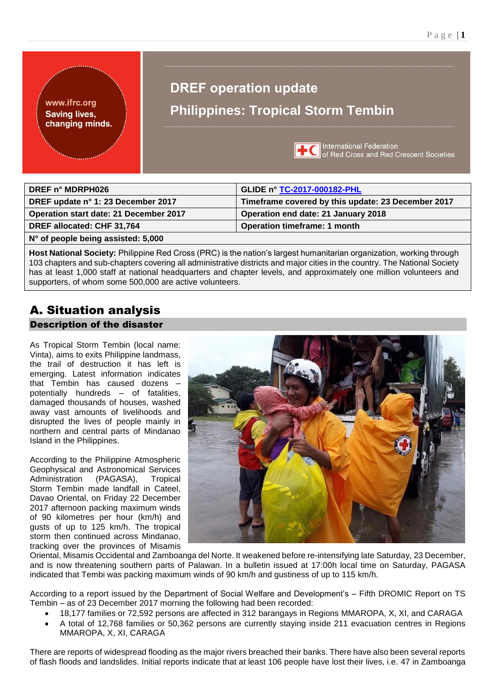www.ifrc.org **Saving lives,** changing minds.

# **DREF operation update Philippines: Tropical Storm Tembin**



**International Federation** of Red Cross and Red Crescent Societies

| DREF n° MDRPH026                       | GLIDE n° TC-2017-000182-PHL                        |
|----------------------------------------|----------------------------------------------------|
| DREF update n° 1: 23 December 2017     | Timeframe covered by this update: 23 December 2017 |
| Operation start date: 21 December 2017 | Operation end date: 21 January 2018                |
| DREF allocated: CHF 31,764             | <b>Operation timeframe: 1 month</b>                |
| N° of people being assisted: 5,000     |                                                    |

**Host National Society:** Philippine Red Cross (PRC) is the nation's largest humanitarian organization, working through 103 chapters and sub-chapters covering all administrative districts and major cities in the country. The National Society has at least 1,000 staff at national headquarters and chapter levels, and approximately one million volunteers and supporters, of whom some 500,000 are active volunteers.

# A. Situation analysis Description of the disaster

As Tropical Storm Tembin (local name: Vinta), aims to exits Philippine landmass, the trail of destruction it has left is emerging. Latest information indicates that Tembin has caused dozens – potentially hundreds – of fatalities, damaged thousands of houses, washed away vast amounts of livelihoods and disrupted the lives of people mainly in northern and central parts of Mindanao Island in the Philippines.

According to the Philippine Atmospheric Geophysical and Astronomical Services Administration (PAGASA), Tropical Storm Tembin made landfall in Cateel Davao Oriental, on Friday 22 December 2017 afternoon packing maximum winds of 90 kilometres per hour (km/h) and gusts of up to 125 km/h. The tropical storm then continued across Mindanao, tracking over the provinces of Misamis



Oriental, Misamis Occidental and Zamboanga del Norte. It weakened before re-intensifying late Saturday, 23 December, and is now threatening southern parts of Palawan. In a bulletin issued at 17:00h local time on Saturday, PAGASA indicated that Tembi was packing maximum winds of 90 km/h and gustiness of up to 115 km/h.

According to a report issued by the Department of Social Welfare and Development's – Fifth DROMIC Report on TS Tembin – as of 23 December 2017 morning the following had been recorded:

- 18,177 families or 72,592 persons are affected in 312 barangays in Regions MMAROPA, X, XI, and CARAGA
- A total of 12,768 families or 50,362 persons are currently staying inside 211 evacuation centres in Regions MMAROPA, X, XI, CARAGA

There are reports of widespread flooding as the major rivers breached their banks. There have also been several reports of flash floods and landslides. Initial reports indicate that at least 106 people have lost their lives, i.e. 47 in Zamboanga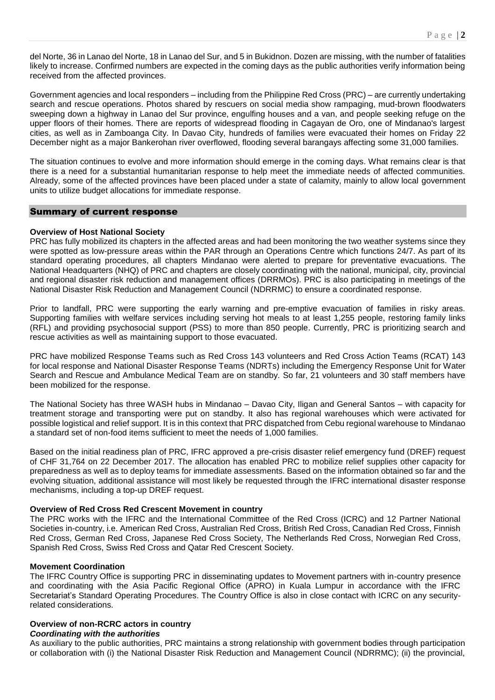del Norte, 36 in Lanao del Norte, 18 in Lanao del Sur, and 5 in Bukidnon. Dozen are missing, with the number of fatalities likely to increase. Confirmed numbers are expected in the coming days as the public authorities verify information being received from the affected provinces.

Government agencies and local responders – including from the Philippine Red Cross (PRC) – are currently undertaking search and rescue operations. Photos shared by rescuers on social media show rampaging, mud-brown floodwaters sweeping down a highway in Lanao del Sur province, engulfing houses and a van, and people seeking refuge on the upper floors of their homes. There are reports of widespread flooding in Cagayan de Oro, one of Mindanao's largest cities, as well as in Zamboanga City. In Davao City, hundreds of families were evacuated their homes on Friday 22 December night as a major Bankerohan river overflowed, flooding several barangays affecting some 31,000 families.

The situation continues to evolve and more information should emerge in the coming days. What remains clear is that there is a need for a substantial humanitarian response to help meet the immediate needs of affected communities. Already, some of the affected provinces have been placed under a state of calamity, mainly to allow local government units to utilize budget allocations for immediate response.

# Summary of current response

# **Overview of Host National Society**

PRC has fully mobilized its chapters in the affected areas and had been monitoring the two weather systems since they were spotted as low-pressure areas within the PAR through an Operations Centre which functions 24/7. As part of its standard operating procedures, all chapters Mindanao were alerted to prepare for preventative evacuations. The National Headquarters (NHQ) of PRC and chapters are closely coordinating with the national, municipal, city, provincial and regional disaster risk reduction and management offices (DRRMOs). PRC is also participating in meetings of the National Disaster Risk Reduction and Management Council (NDRRMC) to ensure a coordinated response.

Prior to landfall, PRC were supporting the early warning and pre-emptive evacuation of families in risky areas. Supporting families with welfare services including serving hot meals to at least 1,255 people, restoring family links (RFL) and providing psychosocial support (PSS) to more than 850 people. Currently, PRC is prioritizing search and rescue activities as well as maintaining support to those evacuated.

PRC have mobilized Response Teams such as Red Cross 143 volunteers and Red Cross Action Teams (RCAT) 143 for local response and National Disaster Response Teams (NDRTs) including the Emergency Response Unit for Water Search and Rescue and Ambulance Medical Team are on standby. So far, 21 volunteers and 30 staff members have been mobilized for the response.

The National Society has three WASH hubs in Mindanao – Davao City, Iligan and General Santos – with capacity for treatment storage and transporting were put on standby. It also has regional warehouses which were activated for possible logistical and relief support. It is in this context that PRC dispatched from Cebu regional warehouse to Mindanao a standard set of non-food items sufficient to meet the needs of 1,000 families.

Based on the initial readiness plan of PRC, IFRC approved a pre-crisis disaster relief emergency fund (DREF) request of CHF 31,764 on 22 December 2017. The allocation has enabled PRC to mobilize relief supplies other capacity for preparedness as well as to deploy teams for immediate assessments. Based on the information obtained so far and the evolving situation, additional assistance will most likely be requested through the IFRC international disaster response mechanisms, including a top-up DREF request.

# **Overview of Red Cross Red Crescent Movement in country**

The PRC works with the IFRC and the International Committee of the Red Cross (ICRC) and 12 Partner National Societies in-country, i.e. American Red Cross, Australian Red Cross, British Red Cross, Canadian Red Cross, Finnish Red Cross, German Red Cross, Japanese Red Cross Society, The Netherlands Red Cross, Norwegian Red Cross, Spanish Red Cross, Swiss Red Cross and Qatar Red Crescent Society.

# **Movement Coordination**

The IFRC Country Office is supporting PRC in disseminating updates to Movement partners with in-country presence and coordinating with the Asia Pacific Regional Office (APRO) in Kuala Lumpur in accordance with the IFRC Secretariat's Standard Operating Procedures. The Country Office is also in close contact with ICRC on any securityrelated considerations.

# **Overview of non-RCRC actors in country**

# *Coordinating with the authorities*

As auxiliary to the public authorities, PRC maintains a strong relationship with government bodies through participation or collaboration with (i) the National Disaster Risk Reduction and Management Council (NDRRMC); (ii) the provincial,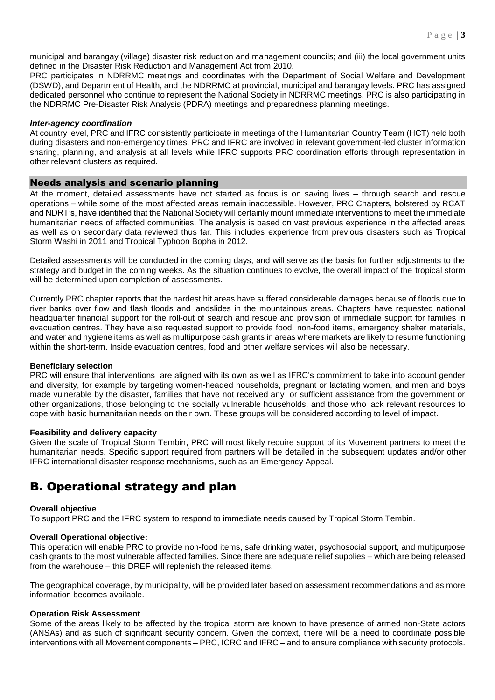municipal and barangay (village) disaster risk reduction and management councils; and (iii) the local government units defined in the Disaster Risk Reduction and Management Act from 2010.

PRC participates in NDRRMC meetings and coordinates with the Department of Social Welfare and Development (DSWD), and Department of Health, and the NDRRMC at provincial, municipal and barangay levels. PRC has assigned dedicated personnel who continue to represent the National Society in NDRRMC meetings. PRC is also participating in the NDRRMC Pre-Disaster Risk Analysis (PDRA) meetings and preparedness planning meetings.

# *Inter-agency coordination*

At country level, PRC and IFRC consistently participate in meetings of the Humanitarian Country Team (HCT) held both during disasters and non-emergency times. PRC and IFRC are involved in relevant government-led cluster information sharing, planning, and analysis at all levels while IFRC supports PRC coordination efforts through representation in other relevant clusters as required.

# Needs analysis and scenario planning

At the moment, detailed assessments have not started as focus is on saving lives – through search and rescue operations – while some of the most affected areas remain inaccessible. However, PRC Chapters, bolstered by RCAT and NDRT's, have identified that the National Society will certainly mount immediate interventions to meet the immediate humanitarian needs of affected communities. The analysis is based on vast previous experience in the affected areas as well as on secondary data reviewed thus far. This includes experience from previous disasters such as Tropical Storm Washi in 2011 and Tropical Typhoon Bopha in 2012.

Detailed assessments will be conducted in the coming days, and will serve as the basis for further adjustments to the strategy and budget in the coming weeks. As the situation continues to evolve, the overall impact of the tropical storm will be determined upon completion of assessments.

Currently PRC chapter reports that the hardest hit areas have suffered considerable damages because of floods due to river banks over flow and flash floods and landslides in the mountainous areas. Chapters have requested national headquarter financial support for the roll-out of search and rescue and provision of immediate support for families in evacuation centres. They have also requested support to provide food, non-food items, emergency shelter materials, and water and hygiene items as well as multipurpose cash grants in areas where markets are likely to resume functioning within the short-term. Inside evacuation centres, food and other welfare services will also be necessary.

# **Beneficiary selection**

PRC will ensure that interventions are aligned with its own as well as IFRC's commitment to take into account gender and diversity, for example by targeting women-headed households, pregnant or lactating women, and men and boys made vulnerable by the disaster, families that have not received any or sufficient assistance from the government or other organizations, those belonging to the socially vulnerable households, and those who lack relevant resources to cope with basic humanitarian needs on their own. These groups will be considered according to level of impact.

# **Feasibility and delivery capacity**

Given the scale of Tropical Storm Tembin, PRC will most likely require support of its Movement partners to meet the humanitarian needs. Specific support required from partners will be detailed in the subsequent updates and/or other IFRC international disaster response mechanisms, such as an Emergency Appeal.

# B. Operational strategy and plan

# **Overall objective**

To support PRC and the IFRC system to respond to immediate needs caused by Tropical Storm Tembin.

# **Overall Operational objective:**

This operation will enable PRC to provide non-food items, safe drinking water, psychosocial support, and multipurpose cash grants to the most vulnerable affected families. Since there are adequate relief supplies – which are being released from the warehouse – this DREF will replenish the released items.

The geographical coverage, by municipality, will be provided later based on assessment recommendations and as more information becomes available.

# **Operation Risk Assessment**

Some of the areas likely to be affected by the tropical storm are known to have presence of armed non-State actors (ANSAs) and as such of significant security concern. Given the context, there will be a need to coordinate possible interventions with all Movement components – PRC, ICRC and IFRC – and to ensure compliance with security protocols.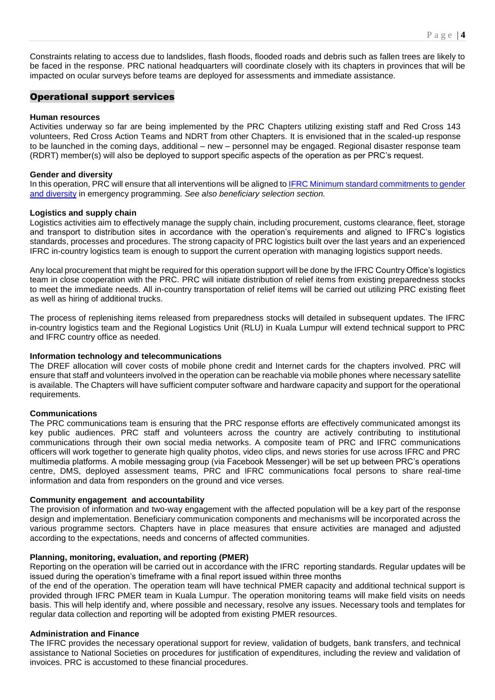P a g e | **4**

# Operational support services

# **Human resources**

Activities underway so far are being implemented by the PRC Chapters utilizing existing staff and Red Cross 143 volunteers, Red Cross Action Teams and NDRT from other Chapters. It is envisioned that in the scaled-up response to be launched in the coming days, additional – new – personnel may be engaged. Regional disaster response team (RDRT) member(s) will also be deployed to support specific aspects of the operation as per PRC's request.

impacted on ocular surveys before teams are deployed for assessments and immediate assistance.

# **Gender and diversity**

In this operation, PRC will ensure that all interventions will be aligned t[o IFRC Minimum standard commitments to gender](http://www.ifrc.org/Global/Documents/Secretariat/201412/IFRC%20Strategic%20Framework%20on%20Gender%20and%20Diversity%20Issues-English.pdf)  [and diversity](http://www.ifrc.org/Global/Documents/Secretariat/201412/IFRC%20Strategic%20Framework%20on%20Gender%20and%20Diversity%20Issues-English.pdf) in emergency programming. *See also beneficiary selection section.*

# **Logistics and supply chain**

Logistics activities aim to effectively manage the supply chain, including procurement, customs clearance, fleet, storage and transport to distribution sites in accordance with the operation's requirements and aligned to IFRC's logistics standards, processes and procedures. The strong capacity of PRC logistics built over the last years and an experienced IFRC in-country logistics team is enough to support the current operation with managing logistics support needs.

Any local procurement that might be required for this operation support will be done by the IFRC Country Office's logistics team in close cooperation with the PRC. PRC will initiate distribution of relief items from existing preparedness stocks to meet the immediate needs. All in-country transportation of relief items will be carried out utilizing PRC existing fleet as well as hiring of additional trucks.

The process of replenishing items released from preparedness stocks will detailed in subsequent updates. The IFRC in-country logistics team and the Regional Logistics Unit (RLU) in Kuala Lumpur will extend technical support to PRC and IFRC country office as needed.

# **Information technology and telecommunications**

The DREF allocation will cover costs of mobile phone credit and Internet cards for the chapters involved. PRC will ensure that staff and volunteers involved in the operation can be reachable via mobile phones where necessary satellite is available. The Chapters will have sufficient computer software and hardware capacity and support for the operational requirements.

# **Communications**

The PRC communications team is ensuring that the PRC response efforts are effectively communicated amongst its key public audiences. PRC staff and volunteers across the country are actively contributing to institutional communications through their own social media networks. A composite team of PRC and IFRC communications officers will work together to generate high quality photos, video clips, and news stories for use across IFRC and PRC multimedia platforms. A mobile messaging group (via Facebook Messenger) will be set up between PRC's operations centre, DMS, deployed assessment teams, PRC and IFRC communications focal persons to share real-time information and data from responders on the ground and vice verses.

# **Community engagement and accountability**

The provision of information and two-way engagement with the affected population will be a key part of the response design and implementation. Beneficiary communication components and mechanisms will be incorporated across the various programme sectors. Chapters have in place measures that ensure activities are managed and adjusted according to the expectations, needs and concerns of affected communities.

# **Planning, monitoring, evaluation, and reporting (PMER)**

Reporting on the operation will be carried out in accordance with the IFRC reporting standards. Regular updates will be issued during the operation's timeframe with a final report issued within three months

of the end of the operation. The operation team will have technical PMER capacity and additional technical support is provided through IFRC PMER team in Kuala Lumpur. The operation monitoring teams will make field visits on needs basis. This will help identify and, where possible and necessary, resolve any issues. Necessary tools and templates for regular data collection and reporting will be adopted from existing PMER resources.

# **Administration and Finance**

The IFRC provides the necessary operational support for review, validation of budgets, bank transfers, and technical assistance to National Societies on procedures for justification of expenditures, including the review and validation of invoices. PRC is accustomed to these financial procedures.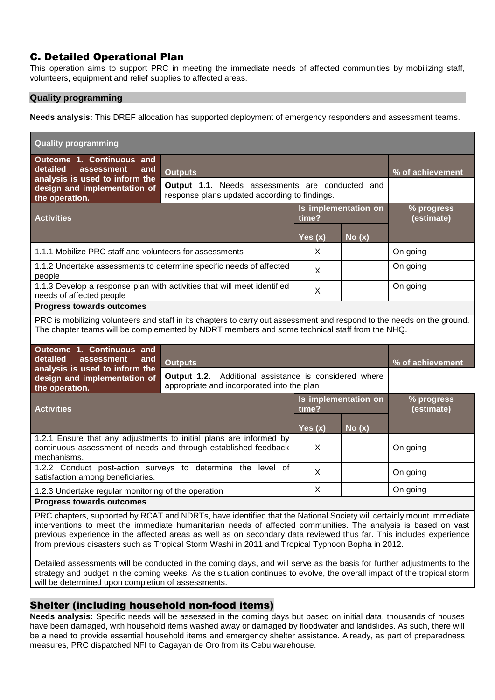# C. Detailed Operational Plan

This operation aims to support PRC in meeting the immediate needs of affected communities by mobilizing staff, volunteers, equipment and relief supplies to affected areas.

# **Quality programming**

**Needs analysis:** This DREF allocation has supported deployment of emergency responders and assessment teams.

| <b>Quality programming</b>                                                                                                                                                                                                                                                                                                                                                                                                                                     |                                                                                                         |                               |       |                          |
|----------------------------------------------------------------------------------------------------------------------------------------------------------------------------------------------------------------------------------------------------------------------------------------------------------------------------------------------------------------------------------------------------------------------------------------------------------------|---------------------------------------------------------------------------------------------------------|-------------------------------|-------|--------------------------|
| Outcome 1. Continuous and<br>detailed<br><b>assessment</b><br>and<br>analysis is used to inform the                                                                                                                                                                                                                                                                                                                                                            | <b>Outputs</b>                                                                                          |                               |       | % of achievement         |
| design and implementation of<br>the operation.                                                                                                                                                                                                                                                                                                                                                                                                                 | <b>Output 1.1.</b> Needs assessments are conducted and<br>response plans updated according to findings. |                               |       |                          |
| <b>Activities</b>                                                                                                                                                                                                                                                                                                                                                                                                                                              |                                                                                                         | Is implementation on<br>time? |       | % progress<br>(estimate) |
|                                                                                                                                                                                                                                                                                                                                                                                                                                                                |                                                                                                         | Yes $(x)$                     | No(x) |                          |
| 1.1.1 Mobilize PRC staff and volunteers for assessments                                                                                                                                                                                                                                                                                                                                                                                                        |                                                                                                         | X.                            |       | On going                 |
| 1.1.2 Undertake assessments to determine specific needs of affected<br>people                                                                                                                                                                                                                                                                                                                                                                                  |                                                                                                         | X                             |       | On going                 |
| 1.1.3 Develop a response plan with activities that will meet identified<br>needs of affected people                                                                                                                                                                                                                                                                                                                                                            |                                                                                                         | X                             |       | On going                 |
| <b>Progress towards outcomes</b>                                                                                                                                                                                                                                                                                                                                                                                                                               |                                                                                                         |                               |       |                          |
| PRC is mobilizing volunteers and staff in its chapters to carry out assessment and respond to the needs on the ground.<br>The chapter teams will be complemented by NDRT members and some technical staff from the NHQ.                                                                                                                                                                                                                                        |                                                                                                         |                               |       |                          |
| Outcome 1. Continuous and<br>detailed<br>assessment<br>and<br><b>Outputs</b>                                                                                                                                                                                                                                                                                                                                                                                   |                                                                                                         |                               |       | % of achievement         |
| analysis is used to inform the<br>design and implementation of<br>the operation.                                                                                                                                                                                                                                                                                                                                                                               | Additional assistance is considered where<br>Output 1.2.<br>appropriate and incorporated into the plan  |                               |       |                          |
| <b>Activities</b>                                                                                                                                                                                                                                                                                                                                                                                                                                              |                                                                                                         | Is implementation on<br>time? |       | % progress<br>(estimate) |
|                                                                                                                                                                                                                                                                                                                                                                                                                                                                |                                                                                                         | Yes $(x)$                     | No(x) |                          |
| 1.2.1 Ensure that any adjustments to initial plans are informed by<br>continuous assessment of needs and through established feedback<br>mechanisms.                                                                                                                                                                                                                                                                                                           |                                                                                                         | X                             |       | On going                 |
| 1.2.2 Conduct post-action surveys to determine the level of<br>satisfaction among beneficiaries.                                                                                                                                                                                                                                                                                                                                                               |                                                                                                         | X                             |       | On going                 |
| 1.2.3 Undertake regular monitoring of the operation                                                                                                                                                                                                                                                                                                                                                                                                            |                                                                                                         | X                             |       | On going                 |
| <b>Progress towards outcomes</b>                                                                                                                                                                                                                                                                                                                                                                                                                               |                                                                                                         |                               |       |                          |
| PRC chapters, supported by RCAT and NDRTs, have identified that the National Society will certainly mount immediate<br>interventions to meet the immediate humanitarian needs of affected communities. The analysis is based on vast<br>previous experience in the affected areas as well as on secondary data reviewed thus far. This includes experience<br>from previous disasters such as Tropical Storm Washi in 2011 and Tropical Typhoon Bopha in 2012. |                                                                                                         |                               |       |                          |

Detailed assessments will be conducted in the coming days, and will serve as the basis for further adjustments to the strategy and budget in the coming weeks. As the situation continues to evolve, the overall impact of the tropical storm will be determined upon completion of assessments.

# Shelter (including household non-food items)

**Needs analysis:** Specific needs will be assessed in the coming days but based on initial data, thousands of houses have been damaged, with household items washed away or damaged by floodwater and landslides. As such, there will be a need to provide essential household items and emergency shelter assistance. Already, as part of preparedness measures, PRC dispatched NFI to Cagayan de Oro from its Cebu warehouse.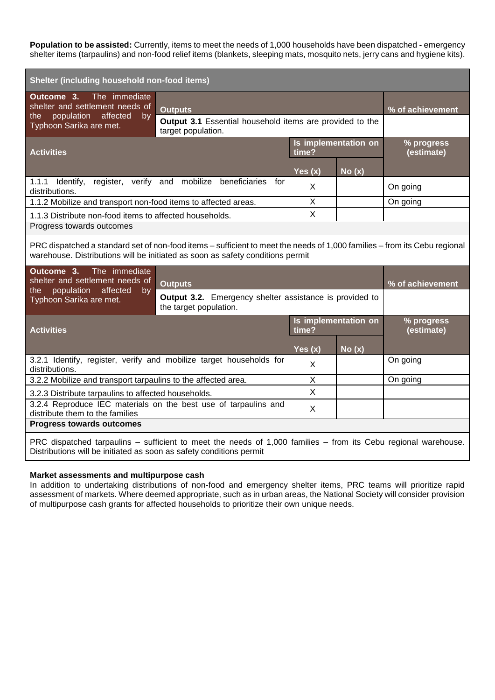**Population to be assisted:** Currently, items to meet the needs of 1,000 households have been dispatched - emergency shelter items (tarpaulins) and non-food relief items (blankets, sleeping mats, mosquito nets, jerry cans and hygiene kits).

| Shelter (including household non-food items)                                                                                                                                                                |                                                                                                                               |           |                      |                          |
|-------------------------------------------------------------------------------------------------------------------------------------------------------------------------------------------------------------|-------------------------------------------------------------------------------------------------------------------------------|-----------|----------------------|--------------------------|
| The immediate<br>Outcome 3.<br>shelter and settlement needs of                                                                                                                                              | <b>Outputs</b><br>population affected<br>by<br>Output 3.1 Essential household items are provided to the<br>target population. |           |                      | % of achievement         |
| the<br>Typhoon Sarika are met.                                                                                                                                                                              |                                                                                                                               |           |                      |                          |
| <b>Activities</b>                                                                                                                                                                                           | Is implementation on<br>time?                                                                                                 |           |                      | % progress<br>(estimate) |
|                                                                                                                                                                                                             |                                                                                                                               | Yes $(x)$ | No(x)                |                          |
| 1.1.1 Identify, register, verify and mobilize beneficiaries<br>distributions.                                                                                                                               | for                                                                                                                           | X         |                      | On going                 |
| 1.1.2 Mobilize and transport non-food items to affected areas.                                                                                                                                              |                                                                                                                               | X         |                      | On going                 |
| 1.1.3 Distribute non-food items to affected households.                                                                                                                                                     |                                                                                                                               | X         |                      |                          |
| Progress towards outcomes                                                                                                                                                                                   |                                                                                                                               |           |                      |                          |
| PRC dispatched a standard set of non-food items – sufficient to meet the needs of 1,000 families – from its Cebu regional<br>warehouse. Distributions will be initiated as soon as safety conditions permit |                                                                                                                               |           |                      |                          |
|                                                                                                                                                                                                             |                                                                                                                               |           |                      |                          |
| The immediate<br>Outcome 3.<br>shelter and settlement needs of                                                                                                                                              | <b>Outputs</b>                                                                                                                |           |                      | % of achievement         |
| population affected<br>the<br>by<br>Typhoon Sarika are met.                                                                                                                                                 | <b>Output 3.2.</b> Emergency shelter assistance is provided to<br>the target population.                                      |           |                      |                          |
| <b>Activities</b>                                                                                                                                                                                           |                                                                                                                               | time?     | Is implementation on | % progress<br>(estimate) |
|                                                                                                                                                                                                             |                                                                                                                               | Yes $(x)$ | $N$ o $(x)$          |                          |
| distributions.                                                                                                                                                                                              | 3.2.1 Identify, register, verify and mobilize target households for                                                           | X         |                      | On going                 |
| 3.2.2 Mobilize and transport tarpaulins to the affected area.                                                                                                                                               |                                                                                                                               | X         |                      | On going                 |
| 3.2.3 Distribute tarpaulins to affected households.                                                                                                                                                         |                                                                                                                               | X         |                      |                          |
| distribute them to the families                                                                                                                                                                             | 3.2.4 Reproduce IEC materials on the best use of tarpaulins and                                                               | X         |                      |                          |
| <b>Progress towards outcomes</b>                                                                                                                                                                            |                                                                                                                               |           |                      |                          |

# **Market assessments and multipurpose cash**

In addition to undertaking distributions of non-food and emergency shelter items, PRC teams will prioritize rapid assessment of markets. Where deemed appropriate, such as in urban areas, the National Society will consider provision of multipurpose cash grants for affected households to prioritize their own unique needs.